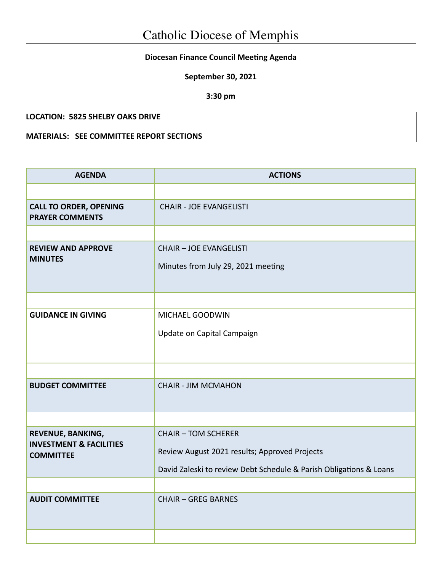## **Diocesan Finance Council Meeting Agenda**

**September 30, 2021**

**3:30 pm**

## **LOCATION: 5825 SHELBY OAKS DRIVE**

## **MATERIALS: SEE COMMITTEE REPORT SECTIONS**

| <b>AGENDA</b>                                           | <b>ACTIONS</b>                                                       |  |  |
|---------------------------------------------------------|----------------------------------------------------------------------|--|--|
|                                                         |                                                                      |  |  |
| <b>CALL TO ORDER, OPENING</b><br><b>PRAYER COMMENTS</b> | <b>CHAIR - JOE EVANGELISTI</b>                                       |  |  |
|                                                         |                                                                      |  |  |
| <b>REVIEW AND APPROVE</b><br><b>MINUTES</b>             | <b>CHAIR - JOE EVANGELISTI</b><br>Minutes from July 29, 2021 meeting |  |  |
|                                                         |                                                                      |  |  |
| <b>GUIDANCE IN GIVING</b>                               | MICHAEL GOODWIN                                                      |  |  |
|                                                         | Update on Capital Campaign                                           |  |  |
|                                                         |                                                                      |  |  |
| <b>BUDGET COMMITTEE</b>                                 | <b>CHAIR - JIM MCMAHON</b>                                           |  |  |
|                                                         |                                                                      |  |  |
| REVENUE, BANKING,                                       | <b>CHAIR - TOM SCHERER</b>                                           |  |  |
| <b>INVESTMENT &amp; FACILITIES</b><br><b>COMMITTEE</b>  | Review August 2021 results; Approved Projects                        |  |  |
|                                                         | David Zaleski to review Debt Schedule & Parish Obligations & Loans   |  |  |
|                                                         |                                                                      |  |  |
| <b>AUDIT COMMITTEE</b>                                  | <b>CHAIR - GREG BARNES</b>                                           |  |  |
|                                                         |                                                                      |  |  |